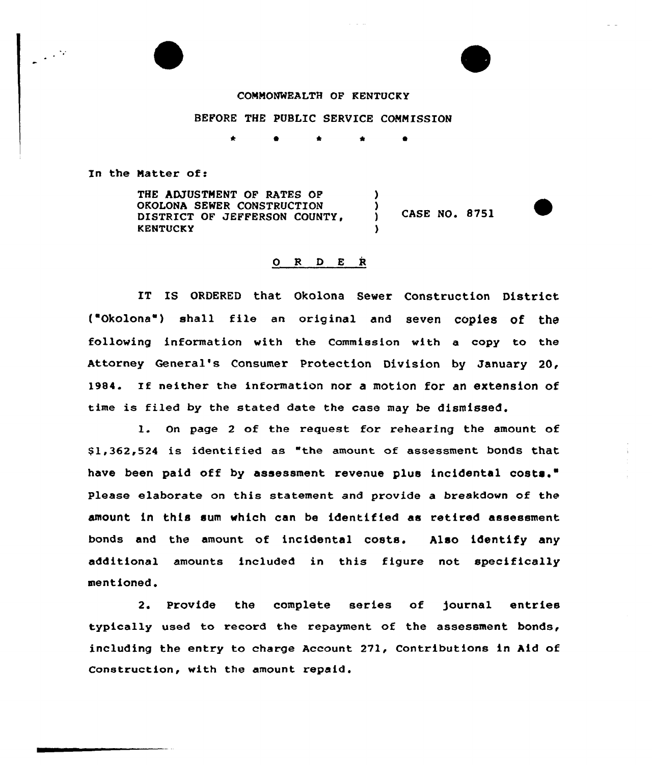## COMMONWEALTH OF KENTUCKY

## BEFORE THE PUBLIC SERVICE COMMISSION

\* 0 \*

In the Matter of:

THE ADJUSTMENT OF RATES OF OKOLONA SEWER CONSTRUCTION DISTRICT OF JEFFERSON COUNTY, **KENTUCKY** ) ) ) CASE NO. 8751 )

## O R D E R

IT IS ORDERED that Okolona Sewer Construction District t'Okolona ) shall file an original and seven copiee Of the following information with the Commission with a copy to the Attorney General's Consumer Protection Division by January 20, 1984. If neither the information nor <sup>a</sup> motion for an extension of time is filed by the stated date the case may be dismissed.

l. On page <sup>2</sup> of the request for rehearing the amount of \$ 1,362,524 is identified as "the amount of assessment bonds that have been paid off by assessment revenue plus incidental costs." Please elaborate on this statement and provide a breakdown of the amount in this sum which can be identified as retired assessment bonds and the amount of incidental costa. Also identify any additional amounts included in this figure not specifically mentioned'.

Provide the complete series of journal entrie typically used to record the repayment of the assessment bonds, including the entry to charge Account 271, Contributions in Aid of Construction, with the amount repaid.